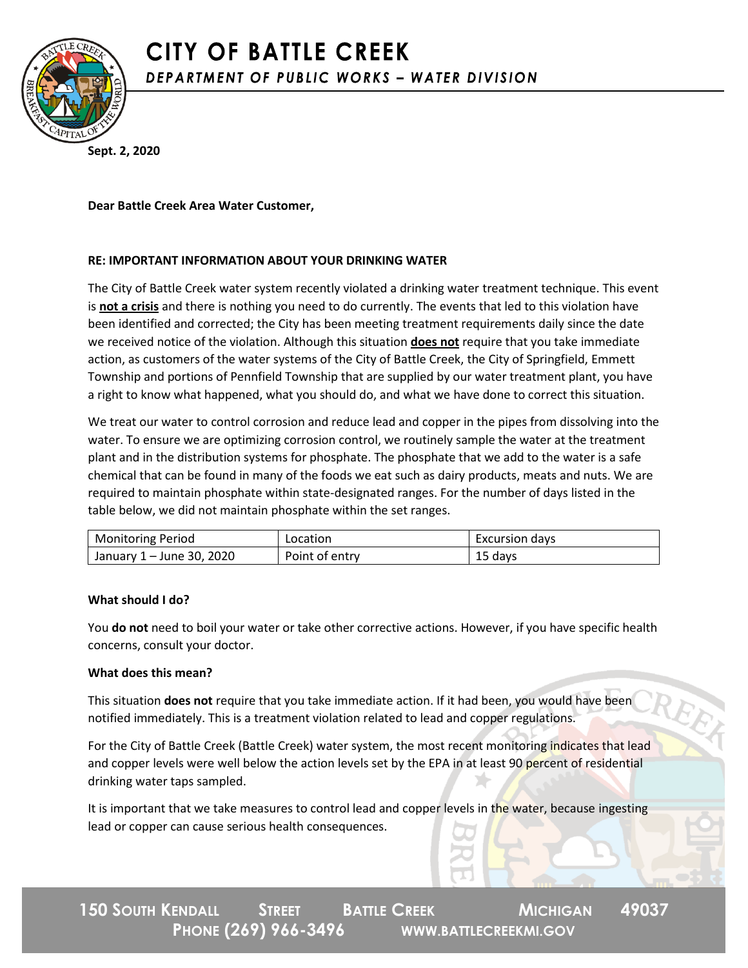

**Sept. 2, 2020**

**Dear Battle Creek Area Water Customer,**

## **RE: IMPORTANT INFORMATION ABOUT YOUR DRINKING WATER**

The City of Battle Creek water system recently violated a drinking water treatment technique. This event is **not a crisis** and there is nothing you need to do currently. The events that led to this violation have been identified and corrected; the City has been meeting treatment requirements daily since the date we received notice of the violation. Although this situation **does not** require that you take immediate action, as customers of the water systems of the City of Battle Creek, the City of Springfield, Emmett Township and portions of Pennfield Township that are supplied by our water treatment plant, you have a right to know what happened, what you should do, and what we have done to correct this situation.

We treat our water to control corrosion and reduce lead and copper in the pipes from dissolving into the water. To ensure we are optimizing corrosion control, we routinely sample the water at the treatment plant and in the distribution systems for phosphate. The phosphate that we add to the water is a safe chemical that can be found in many of the foods we eat such as dairy products, meats and nuts. We are required to maintain phosphate within state-designated ranges. For the number of days listed in the table below, we did not maintain phosphate within the set ranges.

| <b>Monitoring Period</b>  | Location       | Excursion days |
|---------------------------|----------------|----------------|
| January 1 - June 30, 2020 | Point of entry | 15<br>days     |

## **What should I do?**

You **do not** need to boil your water or take other corrective actions. However, if you have specific health concerns, consult your doctor.

## **What does this mean?**

This situation **does not** require that you take immediate action. If it had been, you would have been notified immediately. This is a treatment violation related to lead and copper regulations.

For the City of Battle Creek (Battle Creek) water system, the most recent monitoring indicates that lead and copper levels were well below the action levels set by the EPA in at least 90 percent of residential drinking water taps sampled.

It is important that we take measures to control lead and copper levels in the water, because ingesting lead or copper can cause serious health consequences.

**150 SOUTH KENDALL STREET BATTLE CREEK MICHIGAN 49037 PHONE (269) 966-3496 WWW.BATTLECREEKMI.GOV**